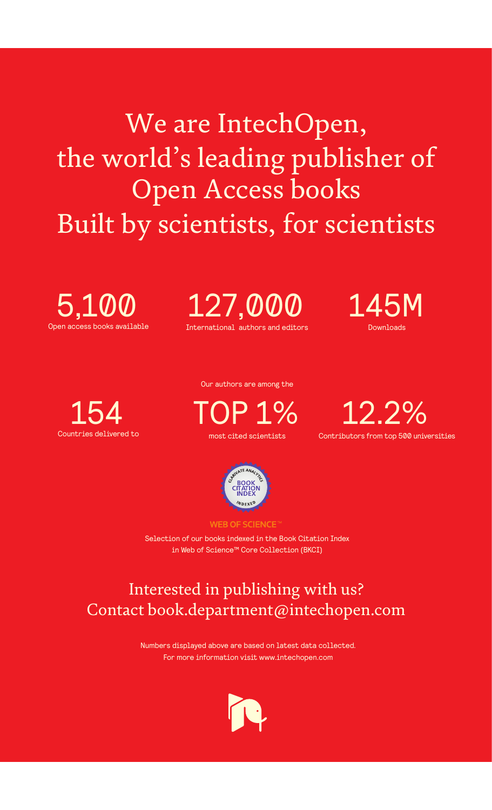We are IntechOpen, the world's leading publisher of Open Access books Built by scientists, for scientists

Open access books available 5,100

International authors and editors 127,000 145M

**Downloads** 



Our authors are among the

most cited scientists TOP 1%





**WEB OF SCIENCE** 

Selection of our books indexed in the Book Citation Index in Web of Science™ Core Collection (BKCI)

# Interested in publishing with us? Contact book.department@intechopen.com

Numbers displayed above are based on latest data collected. For more information visit www.intechopen.com

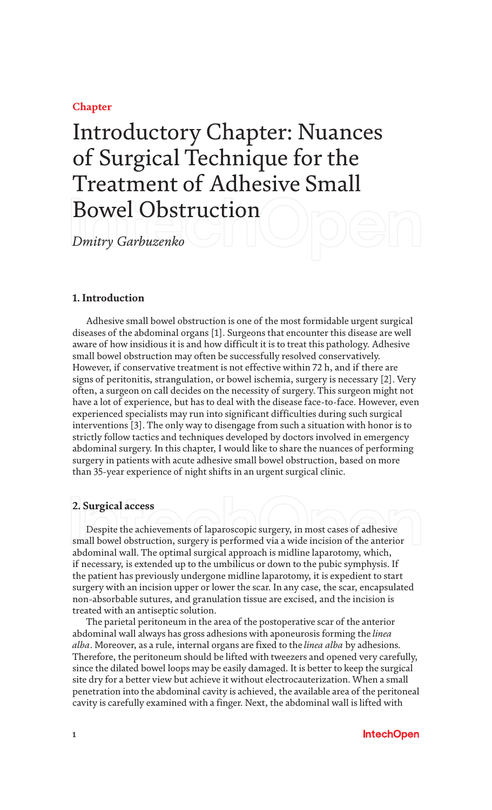# **Chapter**

# Introductory Chapter: Nuances of Surgical Technique for the Treatment of Adhesive Small Bowel Obstruction

*Dmitry Garbuzenko*

# **1. Introduction**

Adhesive small bowel obstruction is one of the most formidable urgent surgical diseases of the abdominal organs [1]. Surgeons that encounter this disease are well aware of how insidious it is and how difficult it is to treat this pathology. Adhesive small bowel obstruction may often be successfully resolved conservatively. However, if conservative treatment is not effective within 72 h, and if there are signs of peritonitis, strangulation, or bowel ischemia, surgery is necessary [2]. Very often, a surgeon on call decides on the necessity of surgery. This surgeon might not have a lot of experience, but has to deal with the disease face-to-face. However, even experienced specialists may run into significant difficulties during such surgical interventions [3]. The only way to disengage from such a situation with honor is to strictly follow tactics and techniques developed by doctors involved in emergency abdominal surgery. In this chapter, I would like to share the nuances of performing surgery in patients with acute adhesive small bowel obstruction, based on more than 35-year experience of night shifts in an urgent surgical clinic.

#### **2. Surgical access**

Despite the achievements of laparoscopic surgery, in most cases of adhesive small bowel obstruction, surgery is performed via a wide incision of the anterior abdominal wall. The optimal surgical approach is midline laparotomy, which, if necessary, is extended up to the umbilicus or down to the pubic symphysis. If the patient has previously undergone midline laparotomy, it is expedient to start surgery with an incision upper or lower the scar. In any case, the scar, encapsulated non-absorbable sutures, and granulation tissue are excised, and the incision is treated with an antiseptic solution.

The parietal peritoneum in the area of the postoperative scar of the anterior abdominal wall always has gross adhesions with aponeurosis forming the *linea alba*. Moreover, as a rule, internal organs are fixed to the *linea alba* by adhesions. Therefore, the peritoneum should be lifted with tweezers and opened very carefully, since the dilated bowel loops may be easily damaged. It is better to keep the surgical site dry for a better view but achieve it without electrocauterization. When a small penetration into the abdominal cavity is achieved, the available area of the peritoneal cavity is carefully examined with a finger. Next, the abdominal wall is lifted with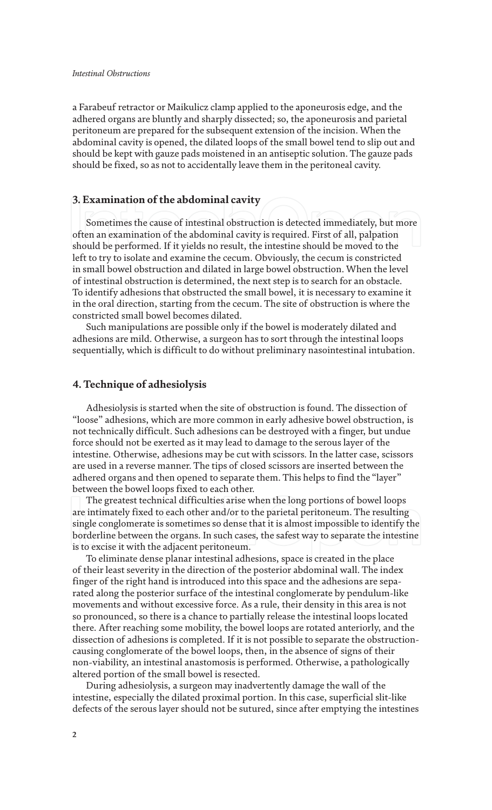#### *Intestinal Obstructions*

a Farabeuf retractor or Maikulicz clamp applied to the aponeurosis edge, and the adhered organs are bluntly and sharply dissected; so, the aponeurosis and parietal peritoneum are prepared for the subsequent extension of the incision. When the abdominal cavity is opened, the dilated loops of the small bowel tend to slip out and should be kept with gauze pads moistened in an antiseptic solution. The gauze pads should be fixed, so as not to accidentally leave them in the peritoneal cavity.

# **3. Examination of the abdominal cavity**

Sometimes the cause of intestinal obstruction is detected immediately, but more often an examination of the abdominal cavity is required. First of all, palpation should be performed. If it yields no result, the intestine should be moved to the left to try to isolate and examine the cecum. Obviously, the cecum is constricted in small bowel obstruction and dilated in large bowel obstruction. When the level of intestinal obstruction is determined, the next step is to search for an obstacle. To identify adhesions that obstructed the small bowel, it is necessary to examine it in the oral direction, starting from the cecum. The site of obstruction is where the constricted small bowel becomes dilated.

Such manipulations are possible only if the bowel is moderately dilated and adhesions are mild. Otherwise, a surgeon has to sort through the intestinal loops sequentially, which is difficult to do without preliminary nasointestinal intubation.

### **4. Technique of adhesiolysis**

Adhesiolysis is started when the site of obstruction is found. The dissection of "loose" adhesions, which are more common in early adhesive bowel obstruction, is not technically difficult. Such adhesions can be destroyed with a finger, but undue force should not be exerted as it may lead to damage to the serous layer of the intestine. Otherwise, adhesions may be cut with scissors. In the latter case, scissors are used in a reverse manner. The tips of closed scissors are inserted between the adhered organs and then opened to separate them. This helps to find the "layer" between the bowel loops fixed to each other.

The greatest technical difficulties arise when the long portions of bowel loops are intimately fixed to each other and/or to the parietal peritoneum. The resulting single conglomerate is sometimes so dense that it is almost impossible to identify the borderline between the organs. In such cases, the safest way to separate the intestine is to excise it with the adjacent peritoneum.

To eliminate dense planar intestinal adhesions, space is created in the place of their least severity in the direction of the posterior abdominal wall. The index finger of the right hand is introduced into this space and the adhesions are separated along the posterior surface of the intestinal conglomerate by pendulum-like movements and without excessive force. As a rule, their density in this area is not so pronounced, so there is a chance to partially release the intestinal loops located there. After reaching some mobility, the bowel loops are rotated anteriorly, and the dissection of adhesions is completed. If it is not possible to separate the obstructioncausing conglomerate of the bowel loops, then, in the absence of signs of their non-viability, an intestinal anastomosis is performed. Otherwise, a pathologically altered portion of the small bowel is resected.

During adhesiolysis, a surgeon may inadvertently damage the wall of the intestine, especially the dilated proximal portion. In this case, superficial slit-like defects of the serous layer should not be sutured, since after emptying the intestines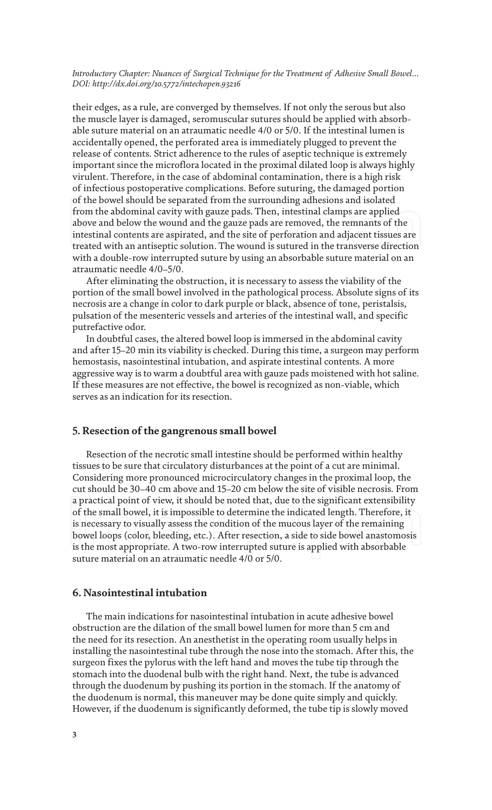#### *Introductory Chapter: Nuances of Surgical Technique for the Treatment of Adhesive Small Bowel… DOI: http://dx.doi.org/10.5772/intechopen.93216*

their edges, as a rule, are converged by themselves. If not only the serous but also the muscle layer is damaged, seromuscular sutures should be applied with absorbable suture material on an atraumatic needle 4/0 or 5/0. If the intestinal lumen is accidentally opened, the perforated area is immediately plugged to prevent the release of contents. Strict adherence to the rules of aseptic technique is extremely important since the microflora located in the proximal dilated loop is always highly virulent. Therefore, in the case of abdominal contamination, there is a high risk of infectious postoperative complications. Before suturing, the damaged portion of the bowel should be separated from the surrounding adhesions and isolated from the abdominal cavity with gauze pads. Then, intestinal clamps are applied above and below the wound and the gauze pads are removed, the remnants of the intestinal contents are aspirated, and the site of perforation and adjacent tissues are treated with an antiseptic solution. The wound is sutured in the transverse direction with a double-row interrupted suture by using an absorbable suture material on an atraumatic needle 4/0–5/0.

After eliminating the obstruction, it is necessary to assess the viability of the portion of the small bowel involved in the pathological process. Absolute signs of its necrosis are a change in color to dark purple or black, absence of tone, peristalsis, pulsation of the mesenteric vessels and arteries of the intestinal wall, and specific putrefactive odor.

In doubtful cases, the altered bowel loop is immersed in the abdominal cavity and after 15–20 min its viability is checked. During this time, a surgeon may perform hemostasis, nasointestinal intubation, and aspirate intestinal contents. A more aggressive way is to warm a doubtful area with gauze pads moistened with hot saline. If these measures are not effective, the bowel is recognized as non-viable, which serves as an indication for its resection.

# **5. Resection of the gangrenous small bowel**

Resection of the necrotic small intestine should be performed within healthy tissues to be sure that circulatory disturbances at the point of a cut are minimal. Considering more pronounced microcirculatory changes in the proximal loop, the cut should be 30–40 cm above and 15–20 cm below the site of visible necrosis. From a practical point of view, it should be noted that, due to the significant extensibility of the small bowel, it is impossible to determine the indicated length. Therefore, it is necessary to visually assess the condition of the mucous layer of the remaining bowel loops (color, bleeding, etc.). After resection, a side to side bowel anastomosis is the most appropriate. A two-row interrupted suture is applied with absorbable suture material on an atraumatic needle 4/0 or 5/0.

#### **6. Nasointestinal intubation**

The main indications for nasointestinal intubation in acute adhesive bowel obstruction are the dilation of the small bowel lumen for more than 5 cm and the need for its resection. An anesthetist in the operating room usually helps in installing the nasointestinal tube through the nose into the stomach. After this, the surgeon fixes the pylorus with the left hand and moves the tube tip through the stomach into the duodenal bulb with the right hand. Next, the tube is advanced through the duodenum by pushing its portion in the stomach. If the anatomy of the duodenum is normal, this maneuver may be done quite simply and quickly. However, if the duodenum is significantly deformed, the tube tip is slowly moved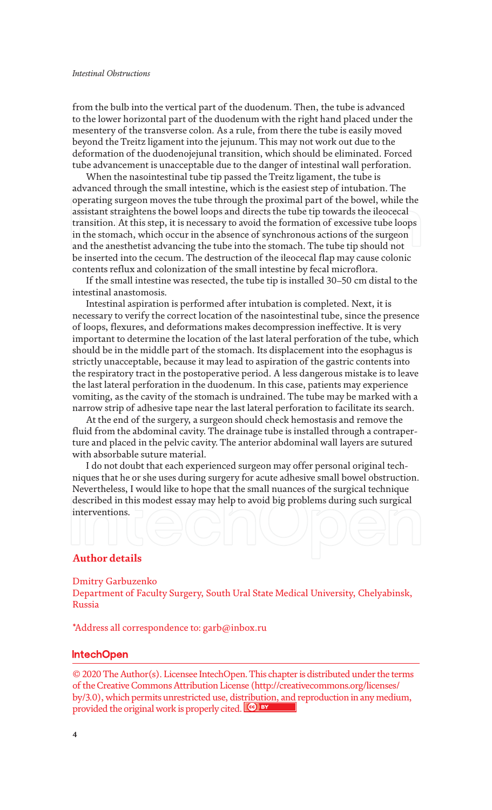#### *Intestinal Obstructions*

from the bulb into the vertical part of the duodenum. Then, the tube is advanced to the lower horizontal part of the duodenum with the right hand placed under the mesentery of the transverse colon. As a rule, from there the tube is easily moved beyond the Treitz ligament into the jejunum. This may not work out due to the deformation of the duodenojejunal transition, which should be eliminated. Forced tube advancement is unacceptable due to the danger of intestinal wall perforation.

When the nasointestinal tube tip passed the Treitz ligament, the tube is advanced through the small intestine, which is the easiest step of intubation. The operating surgeon moves the tube through the proximal part of the bowel, while the assistant straightens the bowel loops and directs the tube tip towards the ileocecal transition. At this step, it is necessary to avoid the formation of excessive tube loops in the stomach, which occur in the absence of synchronous actions of the surgeon and the anesthetist advancing the tube into the stomach. The tube tip should not be inserted into the cecum. The destruction of the ileocecal flap may cause colonic contents reflux and colonization of the small intestine by fecal microflora.

If the small intestine was resected, the tube tip is installed 30–50 cm distal to the intestinal anastomosis.

Intestinal aspiration is performed after intubation is completed. Next, it is necessary to verify the correct location of the nasointestinal tube, since the presence of loops, flexures, and deformations makes decompression ineffective. It is very important to determine the location of the last lateral perforation of the tube, which should be in the middle part of the stomach. Its displacement into the esophagus is strictly unacceptable, because it may lead to aspiration of the gastric contents into the respiratory tract in the postoperative period. A less dangerous mistake is to leave the last lateral perforation in the duodenum. In this case, patients may experience vomiting, as the cavity of the stomach is undrained. The tube may be marked with a narrow strip of adhesive tape near the last lateral perforation to facilitate its search.

At the end of the surgery, a surgeon should check hemostasis and remove the fluid from the abdominal cavity. The drainage tube is installed through a contraperture and placed in the pelvic cavity. The anterior abdominal wall layers are sutured with absorbable suture material.

I do not doubt that each experienced surgeon may offer personal original techniques that he or she uses during surgery for acute adhesive small bowel obstruction. Nevertheless, I would like to hope that the small nuances of the surgical technique described in this modest essay may help to avoid big problems during such surgical interventions.

# **Author details**

#### Dmitry Garbuzenko

Department of Faculty Surgery, South Ural State Medical University, Chelyabinsk, Russia

\*Address all correspondence to: garb@inbox.ru

#### IntechOpen

© 2020 The Author(s). Licensee IntechOpen. This chapter is distributed under the terms of the Creative Commons Attribution License (http://creativecommons.org/licenses/ by/3.0), which permits unrestricted use, distribution, and reproduction in any medium, provided the original work is properly cited. Cc) BY